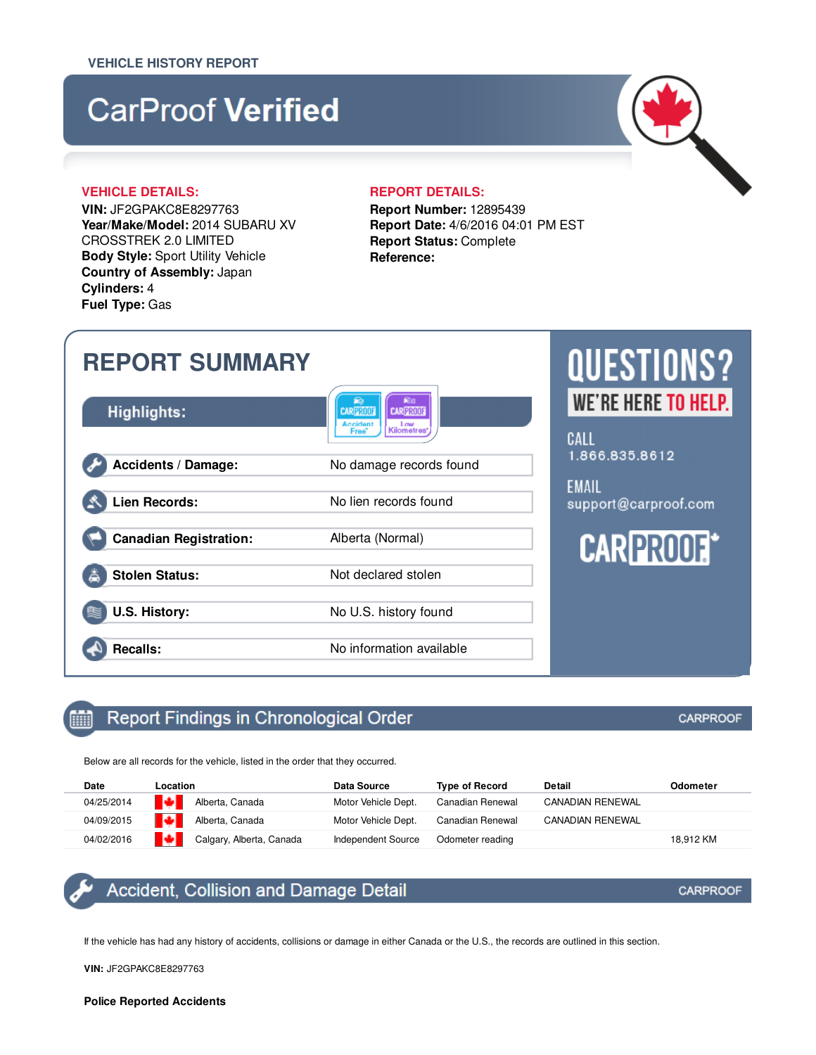# **CarProof Verified**

## **VEHICLE DETAILS: REPORT DETAILS:**

**VIN:** JF2GPAKC8E8297763 **Year/Make/Model:** 2014 SUBARU XV CROSSTREK 2.0 LIMITED **Body Style:** Sport Utility Vehicle **Country of Assembly:** Japan **Cylinders:** 4 **Fuel Type:** Gas

**Report Number:** 12895439 **Report Date:** 4/6/2016 04:01 PM EST **Report Status:** Complete **Reference:**

## **QUESTIONS? REPORT SUMMARY** WE'RE HERE TO HELP. **Highlights: CARPRO CARPROOT** CALL 1.866.835.8612 **Accidents / Damage:** No damage records found **EMAIL Lien Records:** No lien records found support@carproof.com **CARPROOF\* Canadian Registration:** Alberta (Normal) **Stolen Status:** Not declared stolen **U.S. History:** No U.S. history found **Recalls:** No information available

#### Report Findings in Chronological Order 酾

Below are all records for the vehicle, listed in the order that they occurred.

| Date       | Location                 | Data Source               | <b>Type of Record</b><br>Detail |                         | Odometer  |
|------------|--------------------------|---------------------------|---------------------------------|-------------------------|-----------|
| 04/25/2014 | ы<br>Alberta, Canada     | Motor Vehicle Dept.       | Canadian Renewal                | <b>CANADIAN RENEWAL</b> |           |
| 04/09/2015 | ₹ф∎.<br>Alberta, Canada  | Motor Vehicle Dept.       | Canadian Renewal                | <b>CANADIAN RENEWAL</b> |           |
| 04/02/2016 | Calgary, Alberta, Canada | <b>Independent Source</b> | Odometer reading                |                         | 18.912 KM |

## Accident, Collision and Damage Detail

If the vehicle has had any history of accidents, collisions or damage in either Canada or the U.S., the records are outlined in this section.

**VIN:** JF2GPAKC8E8297763



## **CARPROOF**

## **CARPROOF**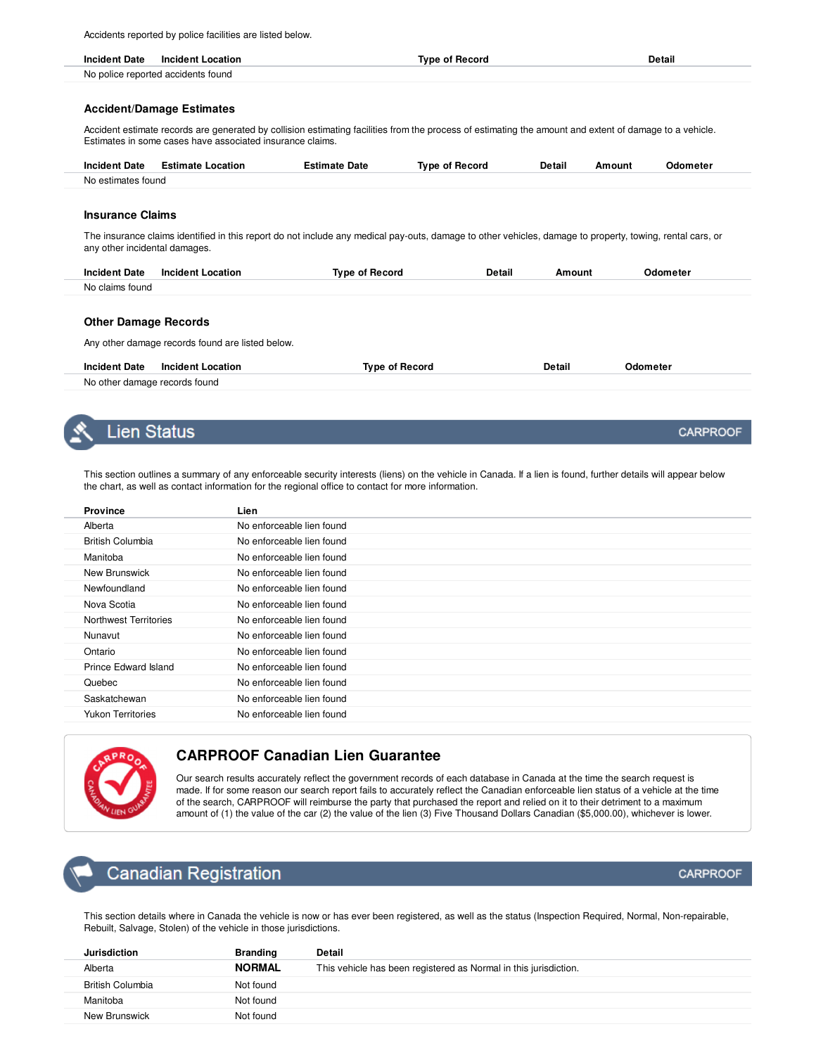Accidents reported by police facilities are listed below.

| <b>Incident Date</b> | <b>Incident Location</b>           | Tvne of Record | ретан<br>____ |
|----------------------|------------------------------------|----------------|---------------|
|                      | No police reported accidents found |                |               |

#### **Accident/Damage Estimates**

Accident estimate records are generated by collision estimating facilities from the process of estimating the amount and extent of damage to a vehicle. Estimates in some cases have associated insurance claims.

| <b>Incident Date</b> | <b>Estimate Location</b> | Estimate Date | Type of Record | Detail | Amount | Odometer |
|----------------------|--------------------------|---------------|----------------|--------|--------|----------|
| No estimates found   |                          |               |                |        |        |          |

### **Insurance Claims**

The insurance claims identified in this report do not include any medical pay-outs, damage to other vehicles, damage to property, towing, rental cars, or any other incidental damages.

| <b>Incident Date</b> | _ocation<br>Incident L<br>. | Type of Record<br>. | Detail<br>. | mount | <b>)dometer</b><br>. |
|----------------------|-----------------------------|---------------------|-------------|-------|----------------------|
| No claims found      |                             |                     |             |       |                      |
|                      |                             |                     |             |       |                      |

### **Other Damage Records**

Any other damage records found are listed below.

| <b>Incident Date</b>          | <b>Incident Location</b> | Tvpe of Record | Detail | Odometei |
|-------------------------------|--------------------------|----------------|--------|----------|
| No other damage records found |                          |                |        |          |

## Lien Status

This section outlines a summary of any enforceable security interests (liens) on the vehicle in Canada. If a lien is found, further details will appear below the chart, as well as contact information for the regional office to contact for more information.

| <b>Province</b>          | Lien                      |
|--------------------------|---------------------------|
| Alberta                  | No enforceable lien found |
| <b>British Columbia</b>  | No enforceable lien found |
| Manitoba                 | No enforceable lien found |
| New Brunswick            | No enforceable lien found |
| Newfoundland             | No enforceable lien found |
| Nova Scotia              | No enforceable lien found |
| Northwest Territories    | No enforceable lien found |
| Nunavut                  | No enforceable lien found |
| Ontario                  | No enforceable lien found |
| Prince Edward Island     | No enforceable lien found |
| Quebec                   | No enforceable lien found |
| Saskatchewan             | No enforceable lien found |
| <b>Yukon Territories</b> | No enforceable lien found |
|                          |                           |



## **CARPROOF Canadian Lien Guarantee**

Our search results accurately reflect the government records of each database in Canada at the time the search request is made. If for some reason our search report fails to accurately reflect the Canadian enforceable lien status of a vehicle at the time of the search, CARPROOF will reimburse the party that purchased the report and relied on it to their detriment to a maximum amount of (1) the value of the car (2) the value of the lien (3) Five Thousand Dollars Canadian (\$5,000.00), whichever is lower.

## **Canadian Registration**

This section details where in Canada the vehicle is now or has ever been registered, as well as the status (Inspection Required, Normal, Non-repairable, Rebuilt, Salvage, Stolen) of the vehicle in those jurisdictions.

| Jurisdiction            | <b>Branding</b> | <b>Detail</b>                                                    |
|-------------------------|-----------------|------------------------------------------------------------------|
| Alberta                 | <b>NORMAL</b>   | This vehicle has been registered as Normal in this jurisdiction. |
| <b>British Columbia</b> | Not found       |                                                                  |
| Manitoba                | Not found       |                                                                  |
| New Brunswick           | Not found       |                                                                  |

## **CARPROOF**

**CARPROOF**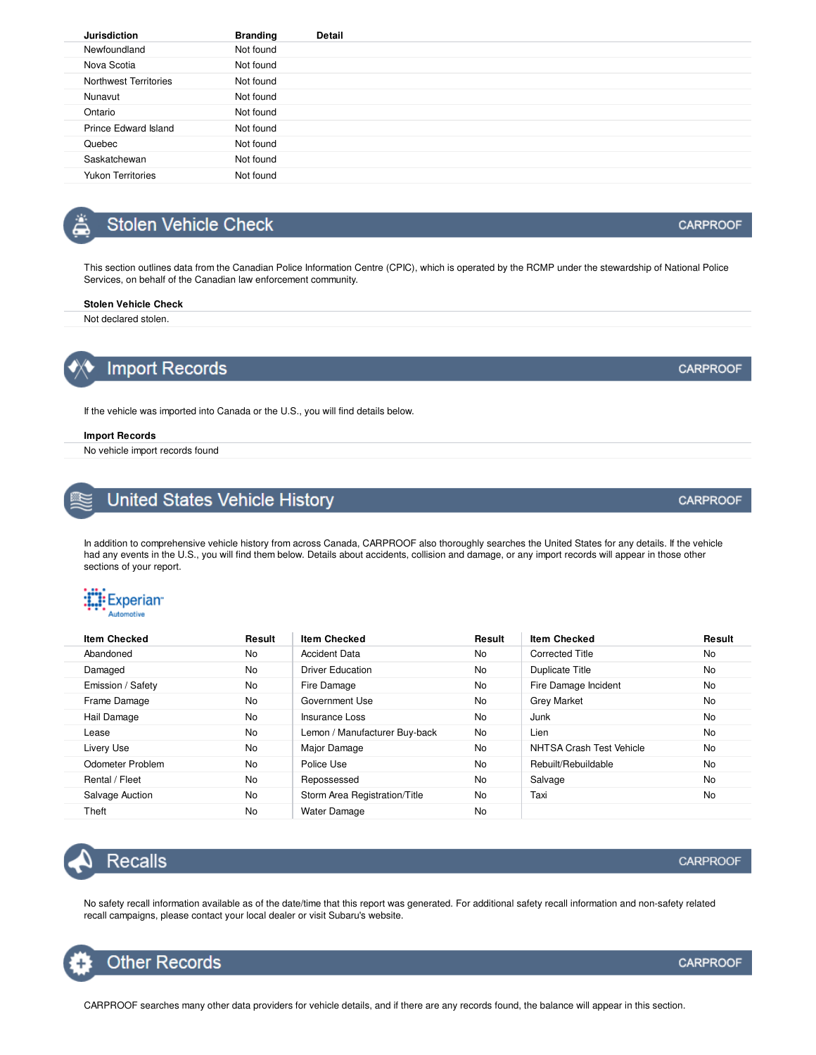| Jurisdiction             | <b>Branding</b> | Detail |
|--------------------------|-----------------|--------|
| Newfoundland             | Not found       |        |
| Nova Scotia              | Not found       |        |
| Northwest Territories    | Not found       |        |
| Nunavut                  | Not found       |        |
| Ontario                  | Not found       |        |
| Prince Edward Island     | Not found       |        |
| Quebec                   | Not found       |        |
| Saskatchewan             | Not found       |        |
| <b>Yukon Territories</b> | Not found       |        |
|                          |                 |        |

## **Stolen Vehicle Check**

This section outlines data from the Canadian Police Information Centre (CPIC), which is operated by the RCMP under the stewardship of National Police Services, on behalf of the Canadian law enforcement community.

#### **Stolen Vehicle Check**

Not declared stolen.

**Import Records** 

If the vehicle was imported into Canada or the U.S., you will find details below.

#### **Import Records**

No vehicle import records found

## United States Vehicle History

In addition to comprehensive vehicle history from across Canada, CARPROOF also thoroughly searches the United States for any details. If the vehicle had any events in the U.S., you will find them below. Details about accidents, collision and damage, or any import records will appear in those other sections of your report.

# : Experian

| <b>Item Checked</b> | Result | <b>Item Checked</b>           | Result    | <b>Item Checked</b>      | Result    |
|---------------------|--------|-------------------------------|-----------|--------------------------|-----------|
| Abandoned           | No     | <b>Accident Data</b>          | <b>No</b> | <b>Corrected Title</b>   | <b>No</b> |
| Damaged             | No     | <b>Driver Education</b>       | <b>No</b> | Duplicate Title          | No        |
| Emission / Safety   | No     | Fire Damage                   | <b>No</b> | Fire Damage Incident     | No        |
| Frame Damage        | No     | Government Use                | <b>No</b> | <b>Grey Market</b>       | <b>No</b> |
| Hail Damage         | No     | Insurance Loss                | <b>No</b> | Junk                     | <b>No</b> |
| Lease               | No     | Lemon / Manufacturer Buy-back | <b>No</b> | Lien                     | No        |
| Livery Use          | No     | Major Damage                  | <b>No</b> | NHTSA Crash Test Vehicle | <b>No</b> |
| Odometer Problem    | No     | Police Use                    | <b>No</b> | Rebuilt/Rebuildable      | <b>No</b> |
| Rental / Fleet      | No     | Repossessed                   | <b>No</b> | Salvage                  | <b>No</b> |
| Salvage Auction     | No     | Storm Area Registration/Title | <b>No</b> | Taxi                     | <b>No</b> |
| Theft               | No     | <b>Water Damage</b>           | <b>No</b> |                          |           |

**Recalls** 

No safety recall information available as of the date/time that this report was generated. For additional safety recall information and non-safety related recall campaigns, please contact your local dealer or visit Subaru's website.

CARPROOF searches many other data providers for vehicle details, and if there are any records found, the balance will appear in this section.



**CARPROOF** 

**CARPROOF** 

**CARPROOF**